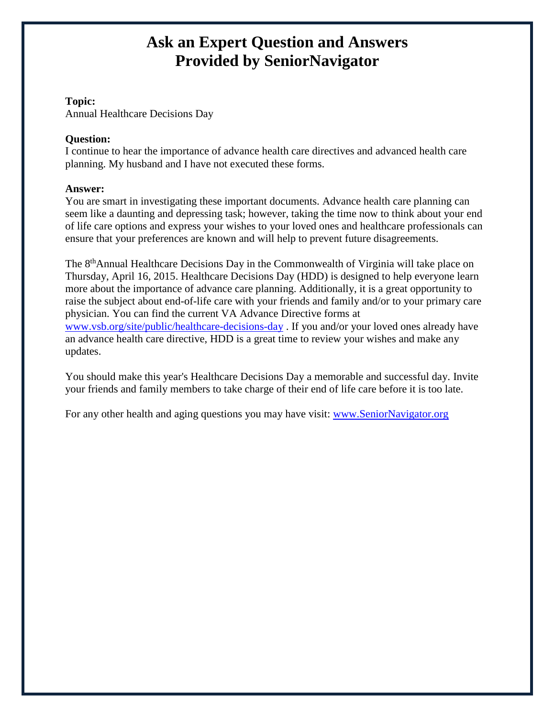### **Topic:**

Annual Healthcare Decisions Day

#### **Question:**

I continue to hear the importance of advance health care directives and advanced health care planning. My husband and I have not executed these forms.

#### **Answer:**

You are smart in investigating these important documents. Advance health care planning can seem like a daunting and depressing task; however, taking the time now to think about your [end](http://www.virginianavigator.org/sn/planning-for-end-of-life-care-decisions/article-30183.aspx)  [of life care](http://www.virginianavigator.org/sn/planning-for-end-of-life-care-decisions/article-30183.aspx) options and express your wishes to your loved ones and healthcare professionals can ensure that your preferences are known and will help to prevent future disagreements.

The 8<sup>th</sup>Annual Healthcare Decisions Day in the Commonwealth of Virginia will take place on Thursday, April 16, 2015. Healthcare Decisions Day (HDD) is designed to help everyone learn more about the importance of advance care planning. Additionally, it is a great opportunity to raise the subject about end-of-life care with your friends and family and/or to your primary care physician. You can find the current VA Advance Directive forms at [www.vsb.org/site/public/healthcare-decisions-day](http://www.vsb.org/site/public/healthcare-decisions-day) . If you and/or your loved ones already have an advance health care directive, HDD is a great time to review your wishes and make any updates.

You should make this year's Healthcare Decisions Day a memorable and successful day. Invite your friends and family members to take charge of their end of life care before it is too late.

For any other health and aging questions you may have visit: [www.SeniorNavigator.org](http://www.seniornavigator.org/)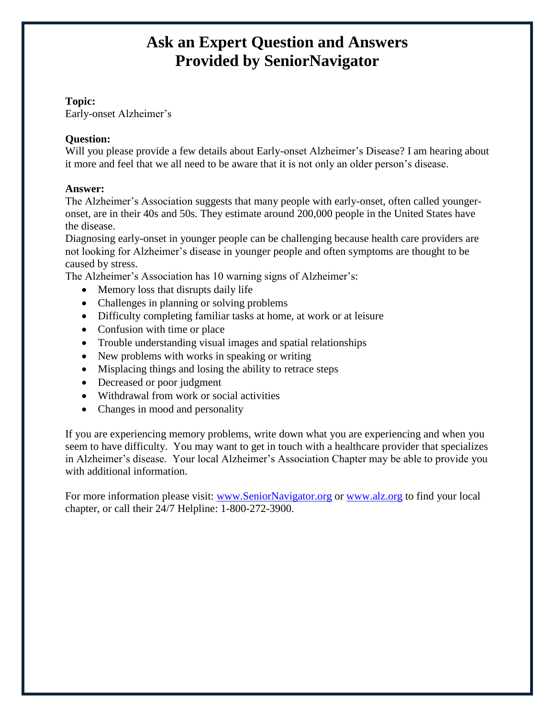### **Topic:**

Early-onset Alzheimer's

## **Question:**

Will you please provide a few details about Early-onset Alzheimer's Disease? I am hearing about it more and feel that we all need to be aware that it is not only an older person's disease.

## **Answer:**

The Alzheimer's Association suggests that many people with early-onset, often called youngeronset, are in their 40s and 50s. They estimate around 200,000 people in the United States have the disease.

Diagnosing early-onset in younger people can be challenging because health care providers are not looking for Alzheimer's disease in younger people and often symptoms are thought to be caused by stress.

The Alzheimer's Association has 10 warning signs of Alzheimer's:

- Memory loss that disrupts daily life
- Challenges in planning or solving problems
- Difficulty completing familiar tasks at home, at work or at leisure
- Confusion with time or place
- Trouble understanding visual images and spatial relationships
- New problems with works in speaking or writing
- Misplacing things and losing the ability to retrace steps
- Decreased or poor judgment
- Withdrawal from work or social activities
- Changes in mood and personality

If you are experiencing memory problems, write down what you are experiencing and when you seem to have difficulty. You may want to get in touch with a healthcare provider that specializes in Alzheimer's disease. Your local Alzheimer's Association Chapter may be able to provide you with additional information.

For more information please visit: [www.SeniorNavigator.org](http://www.seniornavigator.org/) or [www.alz.org](http://www.alz.org/) to find your local chapter, or call their 24/7 Helpline: 1-800-272-3900.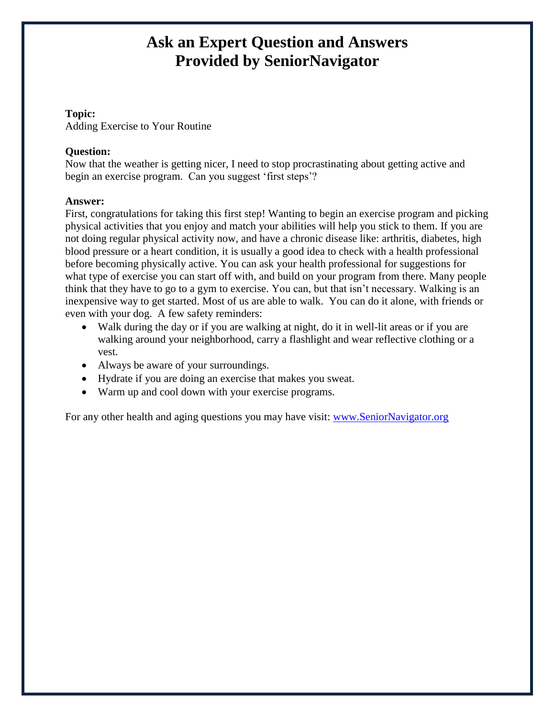## **Topic:**

Adding Exercise to Your Routine

## **Question:**

Now that the weather is getting nicer, I need to stop procrastinating about getting active and begin an exercise program. Can you suggest 'first steps'?

### **Answer:**

First, congratulations for taking this first step! Wanting to begin an exercise program and picking physical activities that you enjoy and match your abilities will help you stick to them. If you are not doing regular physical activity now, and have a chronic disease like: arthritis, diabetes, high blood pressure or a heart condition, it is usually a good idea to check with a health professional before becoming physically active. You can ask your health professional for suggestions for what type of exercise you can start off with, and build on your program from there. Many people think that they have to go to a gym to exercise. You can, but that isn't necessary. Walking is an inexpensive way to get started. Most of us are able to walk. You can do it alone, with friends or even with your dog. A few safety reminders:

- Walk during the day or if you are walking at night, do it in well-lit areas or if you are walking around your neighborhood, carry a flashlight and wear reflective clothing or a vest.
- Always be aware of your surroundings.
- Hydrate if you are doing an exercise that makes you sweat.
- Warm up and cool down with your exercise programs.

For any other health and aging questions you may have visit: [www.SeniorNavigator.org](http://www.seniornavigator.org/)